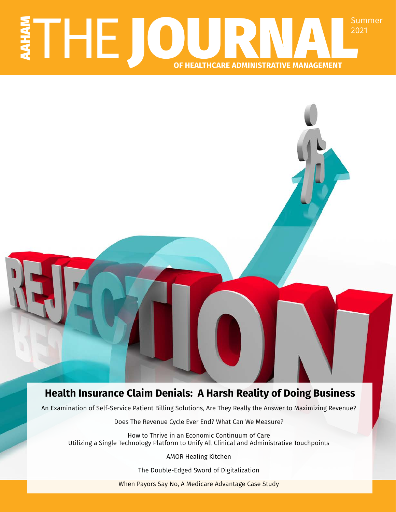# E DOURNAL<sup>Summer</sup> 2021 **OF HEALTHCARE ADMINISTRATIVE MANAGEMENT**

# **Health Insurance Claim Denials: A Harsh Reality of Doing Business**

An Examination of Self-Service Patient Billing Solutions, Are They Really the Answer to Maximizing Revenue?

Does The Revenue Cycle Ever End? What Can We Measure?

How to Thrive in an Economic Continuum of Care Utilizing a Single Technology Platform to Unify All Clinical and Administrative Touchpoints

AMOR Healing Kitchen

The Double-Edged Sword of Digitalization

When Payors Say No, A Medicare Advantage Case Study